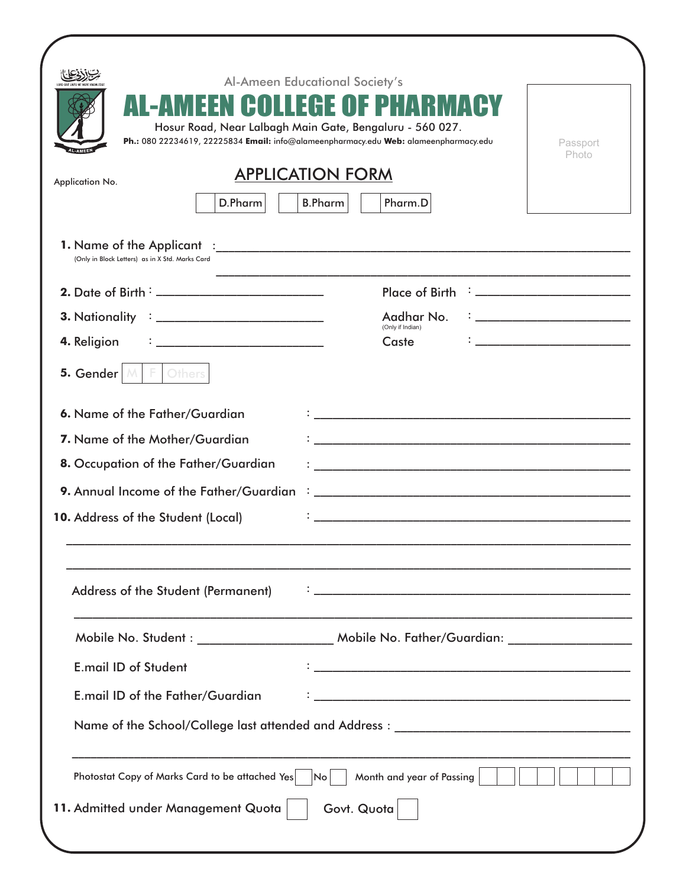| Al-Ameen Educational Society's<br>AL-AMEEN COLLEGE OF PHARMACY<br>Hosur Road, Near Lalbagh Main Gate, Bengaluru - 560 027.<br>Ph.: 080 22234619, 22225834 Email: info@alameenpharmacy.edu Web: alameenpharmacy.edu                                                                                                                                                                                                                                                                                    | Passport<br>Photo                                                                                                                                                                                                                    |  |  |  |  |
|-------------------------------------------------------------------------------------------------------------------------------------------------------------------------------------------------------------------------------------------------------------------------------------------------------------------------------------------------------------------------------------------------------------------------------------------------------------------------------------------------------|--------------------------------------------------------------------------------------------------------------------------------------------------------------------------------------------------------------------------------------|--|--|--|--|
| <b>APPLICATION FORM</b><br>Application No.<br>Pharm.D<br>D.Pharm<br><b>B.Pharm</b>                                                                                                                                                                                                                                                                                                                                                                                                                    |                                                                                                                                                                                                                                      |  |  |  |  |
| (Only in Block Letters) as in X Std. Marks Card                                                                                                                                                                                                                                                                                                                                                                                                                                                       |                                                                                                                                                                                                                                      |  |  |  |  |
| Place of Birth $\frac{1}{2}$ = $\frac{1}{2}$ = $\frac{1}{2}$ = $\frac{1}{2}$ = $\frac{1}{2}$ = $\frac{1}{2}$ = $\frac{1}{2}$ = $\frac{1}{2}$ = $\frac{1}{2}$ = $\frac{1}{2}$ = $\frac{1}{2}$ = $\frac{1}{2}$ = $\frac{1}{2}$ = $\frac{1}{2}$ = $\frac{1}{2}$ = $\frac{1}{2}$ = $\frac{1}{2}$ = $\$                                                                                                                                                                                                    |                                                                                                                                                                                                                                      |  |  |  |  |
| Aadhar No.                                                                                                                                                                                                                                                                                                                                                                                                                                                                                            | $\mathbf{1}_{\{1,2,3,4,5\}}$ . The contract of the contract of the contract of the contract of the contract of the contract of the contract of the contract of the contract of the contract of the contract of the contract of the c |  |  |  |  |
| (Only if Indian)<br>4. Religion<br>Caste<br>$\mathcal{L} = \{ \begin{bmatrix} 1 & 0 \\ 0 & 1 \end{bmatrix}, \begin{bmatrix} 1 & 0 \\ 0 & 1 \end{bmatrix}, \begin{bmatrix} 1 & 0 \\ 0 & 1 \end{bmatrix}, \begin{bmatrix} 1 & 0 \\ 0 & 1 \end{bmatrix}, \begin{bmatrix} 1 & 0 \\ 0 & 1 \end{bmatrix}, \begin{bmatrix} 1 & 0 \\ 0 & 1 \end{bmatrix}, \begin{bmatrix} 1 & 0 \\ 0 & 1 \end{bmatrix}, \begin{bmatrix} 1 & 0 \\ 0 & 1 \end{bmatrix}, \begin{bmatrix} 1 & 0 \\ 0 & 1 \end{bmatrix}, \begin{b$ | <u> 1989 - Johann John Stone, mars eta biztanleria (</u>                                                                                                                                                                             |  |  |  |  |
| 5. Gender $\mathbb{M} \parallel \mathbb{F} \parallel$<br>Others                                                                                                                                                                                                                                                                                                                                                                                                                                       |                                                                                                                                                                                                                                      |  |  |  |  |
| 6. Name of the Father/Guardian                                                                                                                                                                                                                                                                                                                                                                                                                                                                        |                                                                                                                                                                                                                                      |  |  |  |  |
| 7. Name of the Mother/Guardian                                                                                                                                                                                                                                                                                                                                                                                                                                                                        |                                                                                                                                                                                                                                      |  |  |  |  |
| 8. Occupation of the Father/Guardian                                                                                                                                                                                                                                                                                                                                                                                                                                                                  |                                                                                                                                                                                                                                      |  |  |  |  |
| 9. Annual Income of the Father/Guardian                                                                                                                                                                                                                                                                                                                                                                                                                                                               |                                                                                                                                                                                                                                      |  |  |  |  |
| 10. Address of the Student (Local)                                                                                                                                                                                                                                                                                                                                                                                                                                                                    |                                                                                                                                                                                                                                      |  |  |  |  |
| Address of the Student (Permanent)                                                                                                                                                                                                                                                                                                                                                                                                                                                                    |                                                                                                                                                                                                                                      |  |  |  |  |
| Mobile No. Student: __________________________ Mobile No. Father/Guardian: ________________________                                                                                                                                                                                                                                                                                                                                                                                                   |                                                                                                                                                                                                                                      |  |  |  |  |
| <u> 1989 - Johann Stoff, amerikansk politiker (d. 1989)</u><br><b>E.mail ID of Student</b>                                                                                                                                                                                                                                                                                                                                                                                                            |                                                                                                                                                                                                                                      |  |  |  |  |
| E.mail ID of the Father/Guardian                                                                                                                                                                                                                                                                                                                                                                                                                                                                      |                                                                                                                                                                                                                                      |  |  |  |  |
|                                                                                                                                                                                                                                                                                                                                                                                                                                                                                                       |                                                                                                                                                                                                                                      |  |  |  |  |
| Month and year of Passing<br>Photostat Copy of Marks Card to be attached Yes<br>No.                                                                                                                                                                                                                                                                                                                                                                                                                   |                                                                                                                                                                                                                                      |  |  |  |  |
| 11. Admitted under Management Quota<br>Govt. Quota                                                                                                                                                                                                                                                                                                                                                                                                                                                    |                                                                                                                                                                                                                                      |  |  |  |  |